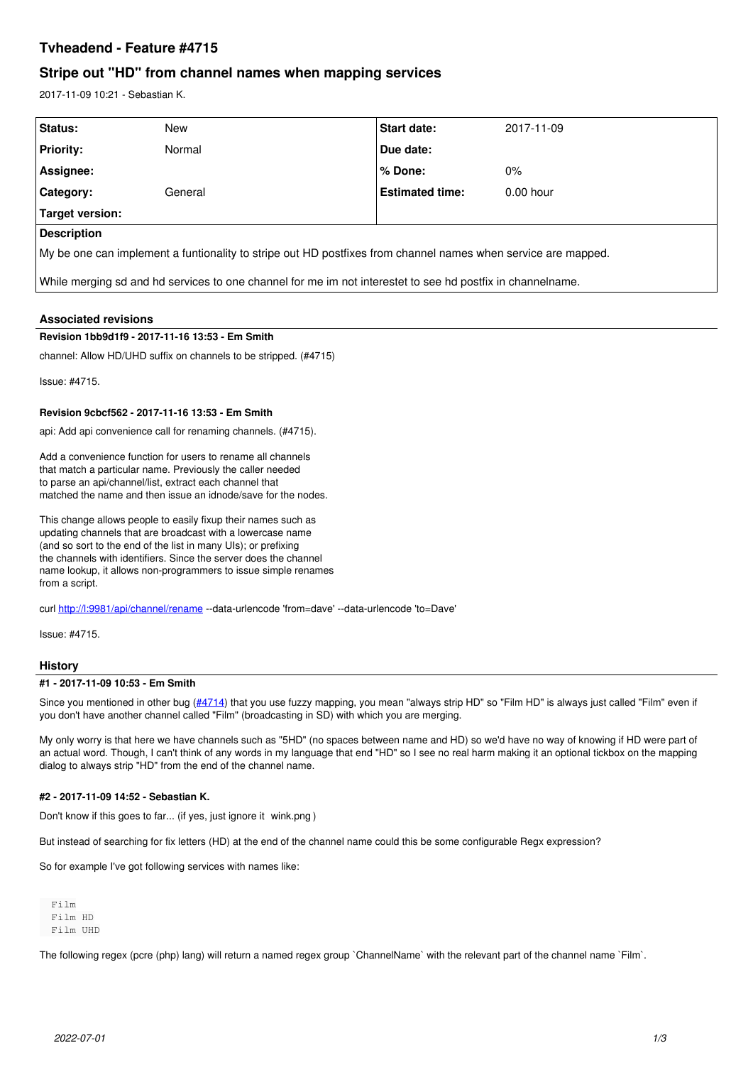# **Tvheadend - Feature #4715**

# **Stripe out "HD" from channel names when mapping services**

2017-11-09 10:21 - Sebastian K.

| Status:                                                                                                       | New     | <b>Start date:</b>     | 2017-11-09  |
|---------------------------------------------------------------------------------------------------------------|---------|------------------------|-------------|
| <b>Priority:</b>                                                                                              | Normal  | Due date:              |             |
| Assignee:                                                                                                     |         | % Done:                | $0\%$       |
| <b>Category:</b>                                                                                              | General | <b>Estimated time:</b> | $0.00$ hour |
| Target version:                                                                                               |         |                        |             |
| Description                                                                                                   |         |                        |             |
| My be one can implement a funtionality to stripe out HD postfixes from channel names when service are mapped. |         |                        |             |
| While merging sd and hd services to one channel for me im not interestet to see hd postfix in channelname.    |         |                        |             |

## **Associated revisions**

#### **Revision 1bb9d1f9 - 2017-11-16 13:53 - Em Smith**

channel: Allow HD/UHD suffix on channels to be stripped. (#4715)

Issue: #4715.

## **Revision 9cbcf562 - 2017-11-16 13:53 - Em Smith**

api: Add api convenience call for renaming channels. (#4715).

Add a convenience function for users to rename all channels that match a particular name. Previously the caller needed to parse an api/channel/list, extract each channel that matched the name and then issue an idnode/save for the nodes.

This change allows people to easily fixup their names such as updating channels that are broadcast with a lowercase name (and so sort to the end of the list in many UIs); or prefixing the channels with identifiers. Since the server does the channel name lookup, it allows non-programmers to issue simple renames from a script.

curl<http://l:9981/api/channel/rename>--data-urlencode 'from=dave' --data-urlencode 'to=Dave'

Issue: #4715.

#### **History**

#### **#1 - 2017-11-09 10:53 - Em Smith**

Since you mentioned in other bug [\(#4714](https://tvheadend.org/issues/4714)) that you use fuzzy mapping, you mean "always strip HD" so "Film HD" is always just called "Film" even if you don't have another channel called "Film" (broadcasting in SD) with which you are merging.

My only worry is that here we have channels such as "5HD" (no spaces between name and HD) so we'd have no way of knowing if HD were part of an actual word. Though, I can't think of any words in my language that end "HD" so I see no real harm making it an optional tickbox on the mapping dialog to always strip "HD" from the end of the channel name.

# **#2 - 2017-11-09 14:52 - Sebastian K.**

Don't know if this goes to far... (if yes, just ignore it wink.png )

But instead of searching for fix letters (HD) at the end of the channel name could this be some configurable Regx expression?

So for example I've got following services with names like:

 Film Film HD Film UHD

The following regex (pcre (php) lang) will return a named regex group `ChannelName` with the relevant part of the channel name `Film`.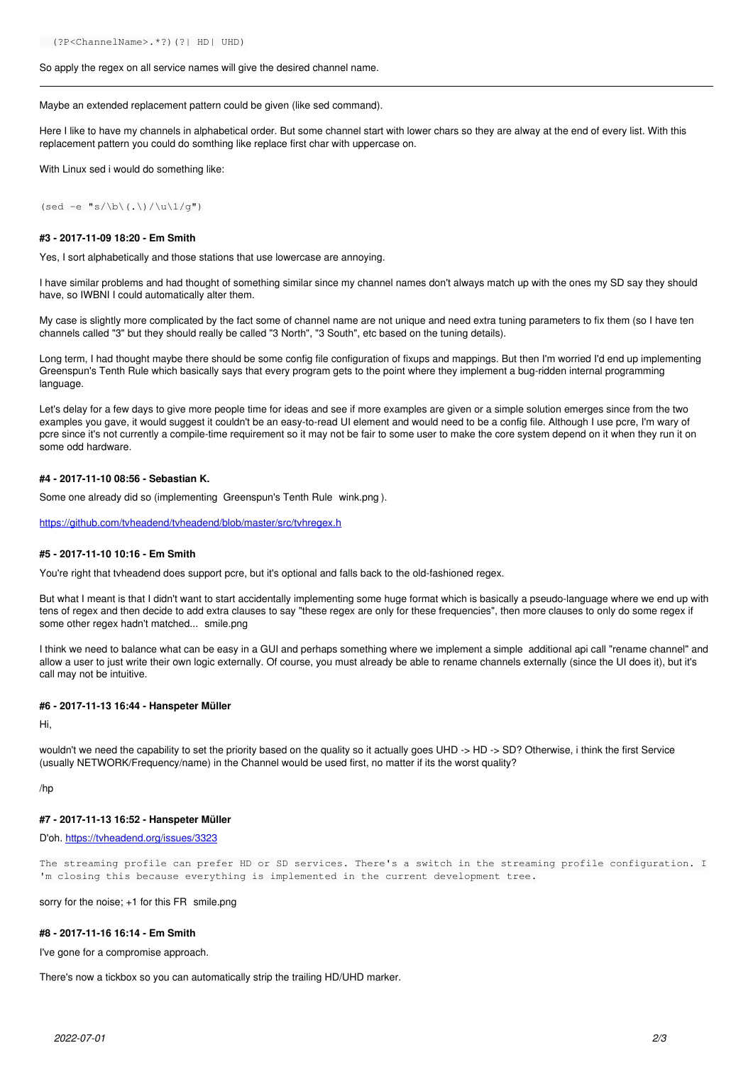#### So apply the regex on all service names will give the desired channel name.

Maybe an extended replacement pattern could be given (like sed command).

Here I like to have my channels in alphabetical order. But some channel start with lower chars so they are alway at the end of every list. With this replacement pattern you could do somthing like replace first char with uppercase on.

With Linux sed i would do something like:

(sed -e "s/\b\(.\)/\u\1/g")

#### **#3 - 2017-11-09 18:20 - Em Smith**

Yes, I sort alphabetically and those stations that use lowercase are annoying.

I have similar problems and had thought of something similar since my channel names don't always match up with the ones my SD say they should have, so IWBNI I could automatically alter them.

My case is slightly more complicated by the fact some of channel name are not unique and need extra tuning parameters to fix them (so I have ten channels called "3" but they should really be called "3 North", "3 South", etc based on the tuning details).

Long term, I had thought maybe there should be some config file configuration of fixups and mappings. But then I'm worried I'd end up implementing Greenspun's Tenth Rule which basically says that every program gets to the point where they implement a bug-ridden internal programming language.

Let's delay for a few days to give more people time for ideas and see if more examples are given or a simple solution emerges since from the two examples you gave, it would suggest it couldn't be an easy-to-read UI element and would need to be a config file. Although I use pcre, I'm wary of pcre since it's not currently a compile-time requirement so it may not be fair to some user to make the core system depend on it when they run it on some odd hardware.

#### **#4 - 2017-11-10 08:56 - Sebastian K.**

Some one already did so (implementing Greenspun's Tenth Rule wink.png ).

<https://github.com/tvheadend/tvheadend/blob/master/src/tvhregex.h>

#### **#5 - 2017-11-10 10:16 - Em Smith**

You're right that tvheadend does support pcre, but it's optional and falls back to the old-fashioned regex.

But what I meant is that I didn't want to start accidentally implementing some huge format which is basically a pseudo-language where we end up with tens of regex and then decide to add extra clauses to say "these regex are only for these frequencies", then more clauses to only do some regex if some other regex hadn't matched... smile.png

I think we need to balance what can be easy in a GUI and perhaps something where we implement a simple additional api call "rename channel" and allow a user to just write their own logic externally. Of course, you must already be able to rename channels externally (since the UI does it), but it's call may not be intuitive.

#### **#6 - 2017-11-13 16:44 - Hanspeter Müller**

Hi,

wouldn't we need the capability to set the priority based on the quality so it actually goes UHD -> HD -> SD? Otherwise, i think the first Service (usually NETWORK/Frequency/name) in the Channel would be used first, no matter if its the worst quality?

/hp

#### **#7 - 2017-11-13 16:52 - Hanspeter Müller**

### D'oh. <https://tvheadend.org/issues/3323>

The streaming profile can prefer HD or SD services. There's a switch in the streaming profile configuration. I 'm closing this because everything is implemented in the current development tree.

sorry for the noise; +1 for this FR smile.png

### **#8 - 2017-11-16 16:14 - Em Smith**

I've gone for a compromise approach.

There's now a tickbox so you can automatically strip the trailing HD/UHD marker.